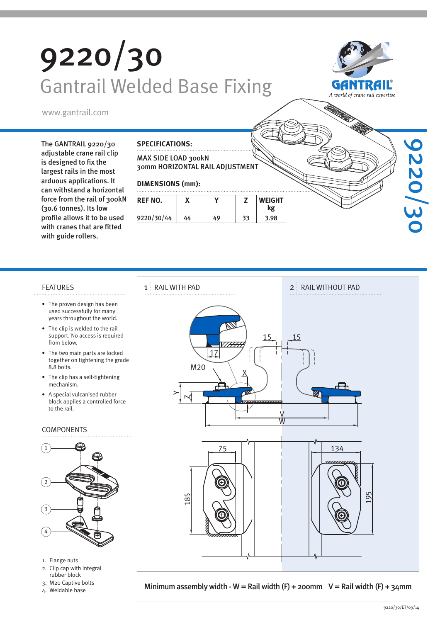# 9220/30 Gantrail Welded Base Fixing



9220/30

www.gantrail.com

The GANTRAIL 9220/30 adjustable crane rail clip is designed to fix the largest rails in the most arduous applications. It can withstand a horizontal force from the rail of 300kN (30.6 tonnes). Its low profile allows it to be used with cranes that are fitted with guide rollers.

### **SPECIFICATIONS:**

MAX SIDE LOAD 300kN 30mm HORIZONTAL RAIL ADJUSTMENT

### **DIMENSIONS (mm):**

| <b>REF NO.</b> |    |    |    | <b>WEIGHT</b><br>ko. |  |
|----------------|----|----|----|----------------------|--|
| 9220/30/44     | 44 | 49 | 33 | 3.98                 |  |

- The proven design has been used successfully for many years throughout the world.
- The clip is welded to the rail support. No access is required from below.
- The two main parts are locked together on tightening the grade 8.8 bolts.
- The clip has a self-tightening mechanism.
- A special vulcanised rubber block applies a controlled force to the rail.

### COMPONENTS



- 1. Flange nuts
- 2. Clip cap with integral rubber block
- 3. M20 Captive bolts
- 4. Weldable base

### FEATURES 1 RAIL WITH PAD

### 2 RAIL WITHOUT PAD



Minimum assembly width - W = Rail width (F) + 200mm  $V =$  Rail width (F) + 34mm